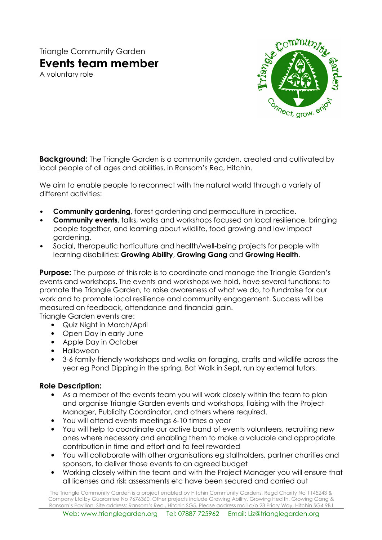Triangle Community Garden Events team member



A voluntary role

**Background:** The Triangle Garden is a community garden, created and cultivated by local people of all ages and abilities, in Ransom's Rec, Hitchin.

We aim to enable people to reconnect with the natural world through a variety of different activities:

- Community gardening, forest gardening and permaculture in practice.
- **Community events**, talks, walks and workshops focused on local resilience, bringing people together, and learning about wildlife, food growing and low impact gardening.
- Social, therapeutic horticulture and health/well-being projects for people with learning disabilities: Growing Ability, Growing Gang and Growing Health.

**Purpose:** The purpose of this role is to coordinate and manage the Triangle Garden's events and workshops. The events and workshops we hold, have several functions: to promote the Triangle Garden, to raise awareness of what we do, to fundraise for our work and to promote local resilience and community engagement. Success will be measured on feedback, attendance and financial gain.

Triangle Garden events are:

- Quiz Night in March/April
- Open Day in early June
- Apple Day in October
- Halloween
- 3-6 family-friendly workshops and walks on foraging, crafts and wildlife across the year eg Pond Dipping in the spring, Bat Walk in Sept, run by external tutors.

## Role Description:

- As a member of the events team you will work closely within the team to plan and organise Triangle Garden events and workshops, liaising with the Project Manager, Publicity Coordinator, and others where required.
- You will attend events meetings 6-10 times a year
- You will help to coordinate our active band of events volunteers, recruiting new ones where necessary and enabling them to make a valuable and appropriate contribution in time and effort and to feel rewarded
- You will collaborate with other organisations eg stallholders, partner charities and sponsors, to deliver those events to an agreed budget
- Working closely within the team and with the Project Manager you will ensure that all licenses and risk assessments etc have been secured and carried out

The Triangle Community Garden is a project enabled by Hitchin Community Gardens, Regd Charity No 1145243 & Company Ltd by Guarantee No 7676360, Other projects include Growing Ability, Growing Health, Growing Gang & Ransom's Pavilion. Site address: Ransom's Rec., Hitchin SG5. Please address mail c/o 23 Priory Way, Hitchin SG4 9BJ